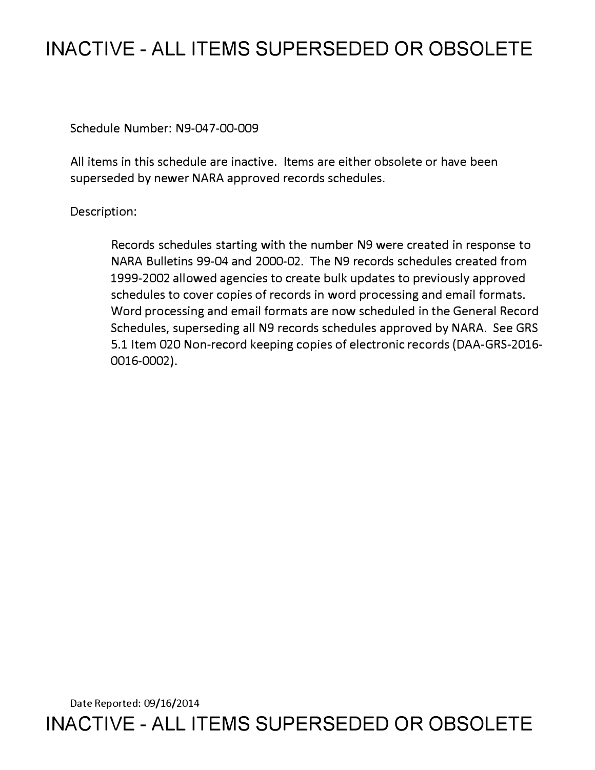## **INACTIVE - ALL ITEMS SUPERSEDED OR OBSOLETE**

Schedule Number: N9-047-00-009

All items in this schedule are inactive. Items are either obsolete or have been superseded by newer NARA approved records schedules.

## Description:

Records schedules starting with the number N9 were created in response to NARA Bulletins 99-04 and 2000-02. The N9 records schedules created from 1999-2002 allowed agencies to create bulk updates to previously approved schedules to cover copies of records in word processing and email formats. Word processing and email formats are now scheduled in the General Record Schedules, superseding all N9 records schedules approved by NARA. See GRS 5.1 Item 020 Non-record keeping copies of electronic records (DAA-GRS-2016- 0016-0002).

Date Reported: 09/16/2014 **INACTIVE - ALL ITEMS SUPERSEDED OR OBSOLETE**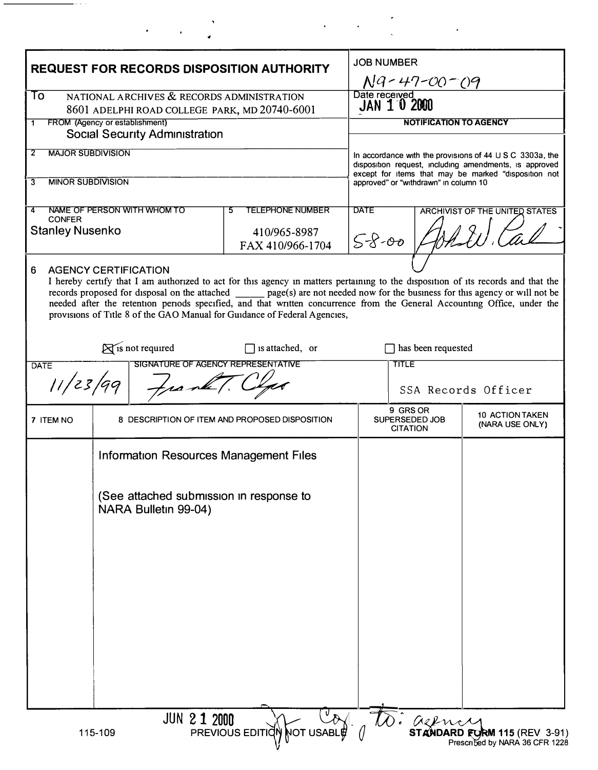| <b>REQUEST FOR RECORDS DISPOSITION AUTHORITY</b>                                                                                                                                                                                                                                                                                                                                                                                                                                                                  |                                                                 |                                                |                                                                                                                                                                                 | <b>JOB NUMBER</b><br>N9-47-00-09              |                                           |  |
|-------------------------------------------------------------------------------------------------------------------------------------------------------------------------------------------------------------------------------------------------------------------------------------------------------------------------------------------------------------------------------------------------------------------------------------------------------------------------------------------------------------------|-----------------------------------------------------------------|------------------------------------------------|---------------------------------------------------------------------------------------------------------------------------------------------------------------------------------|-----------------------------------------------|-------------------------------------------|--|
| To<br>NATIONAL ARCHIVES & RECORDS ADMINISTRATION                                                                                                                                                                                                                                                                                                                                                                                                                                                                  |                                                                 |                                                | Date received<br>JAN 1 0 2000                                                                                                                                                   |                                               |                                           |  |
| 8601 ADELPHI ROAD COLLEGE PARK, MD 20740-6001<br>FROM (Agency or establishment)<br>1                                                                                                                                                                                                                                                                                                                                                                                                                              |                                                                 |                                                | <b>NOTIFICATION TO AGENCY</b>                                                                                                                                                   |                                               |                                           |  |
| <b>Social Security Administration</b>                                                                                                                                                                                                                                                                                                                                                                                                                                                                             |                                                                 |                                                |                                                                                                                                                                                 |                                               |                                           |  |
| <b>MAJOR SUBDIVISION</b><br>$\mathbf{2}$                                                                                                                                                                                                                                                                                                                                                                                                                                                                          |                                                                 |                                                | In accordance with the provisions of 44 $\cup$ S C 3303a, the<br>disposition request, including amendments, is approved<br>except for items that may be marked "disposition not |                                               |                                           |  |
| <b>MINOR SUBDIVISION</b><br>3                                                                                                                                                                                                                                                                                                                                                                                                                                                                                     |                                                                 |                                                | approved" or "withdrawn" in column 10                                                                                                                                           |                                               |                                           |  |
| <b>CONFER</b>                                                                                                                                                                                                                                                                                                                                                                                                                                                                                                     | NAME OF PERSON WITH WHOM TO                                     | <b>TELEPHONE NUMBER</b><br>5                   | <b>DATE</b><br>ARCHIVIST OF THE UNITED STATES                                                                                                                                   |                                               |                                           |  |
| <b>Stanley Nusenko</b>                                                                                                                                                                                                                                                                                                                                                                                                                                                                                            |                                                                 | 410/965-8987<br>FAX 410/966-1704               | $58 - 00$                                                                                                                                                                       |                                               |                                           |  |
| <b>AGENCY CERTIFICATION</b><br>6<br>I hereby certify that I am authorized to act for this agency in matters pertaining to the disposition of its records and that the<br>records proposed for disposal on the attached ______ page(s) are not needed now for the business for this agency or will not be<br>needed after the retention periods specified, and that written concurrence from the General Accounting Office, under the<br>provisions of Title 8 of the GAO Manual for Guidance of Federal Agencies, |                                                                 |                                                |                                                                                                                                                                                 |                                               |                                           |  |
| $\mathbb{R}$ is not required<br>is attached, or<br>has been requested                                                                                                                                                                                                                                                                                                                                                                                                                                             |                                                                 |                                                |                                                                                                                                                                                 |                                               |                                           |  |
| SIGNATURE OF AGENCY REPRESENTATIVE<br><b>DATE</b>                                                                                                                                                                                                                                                                                                                                                                                                                                                                 |                                                                 |                                                |                                                                                                                                                                                 | <b>TITLE</b>                                  |                                           |  |
| 11/23/99<br>frank                                                                                                                                                                                                                                                                                                                                                                                                                                                                                                 |                                                                 |                                                | SSA Records Officer                                                                                                                                                             |                                               |                                           |  |
| 7 ITEM NO                                                                                                                                                                                                                                                                                                                                                                                                                                                                                                         |                                                                 | 8 DESCRIPTION OF ITEM AND PROPOSED DISPOSITION |                                                                                                                                                                                 | 9 GRS OR<br>SUPERSEDED JOB<br><b>CITATION</b> | <b>10 ACTION TAKEN</b><br>(NARA USE ONLY) |  |
|                                                                                                                                                                                                                                                                                                                                                                                                                                                                                                                   | <b>Information Resources Management Files</b>                   |                                                |                                                                                                                                                                                 |                                               |                                           |  |
|                                                                                                                                                                                                                                                                                                                                                                                                                                                                                                                   | (See attached submission in response to<br>NARA Bulletin 99-04) |                                                |                                                                                                                                                                                 |                                               |                                           |  |
| to: asency<br>JUN 2 1 2000<br>PREVIOUS EDITICY NOT USABLE<br>STANDARD FURM 115 (REV 3-91<br>115-109                                                                                                                                                                                                                                                                                                                                                                                                               |                                                                 |                                                |                                                                                                                                                                                 |                                               |                                           |  |

 $\label{eq:2.1} \mathcal{L}(\mathcal{L}^{\mathcal{L}}(\mathcal{L}^{\mathcal{L}}(\mathcal{L}^{\mathcal{L}}(\mathcal{L}^{\mathcal{L}}(\mathcal{L}^{\mathcal{L}}(\mathcal{L}^{\mathcal{L}}(\mathcal{L}^{\mathcal{L}}(\mathcal{L}^{\mathcal{L}}(\mathcal{L}^{\mathcal{L}}(\mathcal{L}^{\mathcal{L}}(\mathcal{L}^{\mathcal{L}}(\mathcal{L}^{\mathcal{L}}(\mathcal{L}^{\mathcal{L}}(\mathcal{L}^{\mathcal{L}}(\mathcal{L}^{\mathcal{L}}(\mathcal{L}^{\mathcal$ 

 $\label{eq:2.1} \begin{array}{l} \mathcal{F}_{\mathcal{A}}(\mathcal{A})=\mathcal{F}_{\mathcal{A}}(\mathcal{A})\\ \mathcal{F}_{\mathcal{A}}(\mathcal{A})=\mathcal{F}_{\mathcal{A}}(\mathcal{A}) \end{array}$ 

- - - -

Prescn **M 115** (REV 3-91) ed by NARA 36 CFR 1228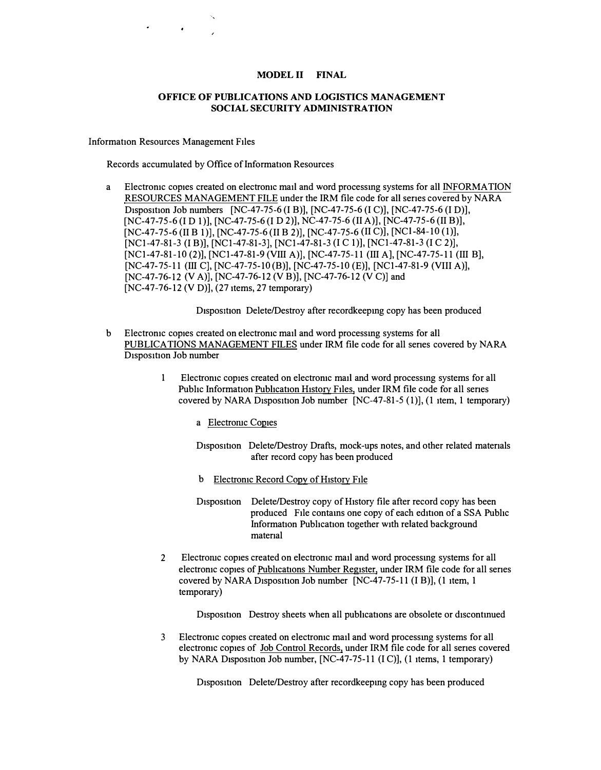## **MODEL II FINAL**

## **OFFICE OF PUBLICATIONS AND LOGISTICS MANAGEMENT SOCIAL SECURITY ADMINISTRATION**

Information Resources Management Files

Records accumulated by Office of Information Resources

a Electronic copies created on electronic mail and word processing systems for all INFORMATION RESOURCES MANAGEMENT FILE under the IRM file code for all series covered by NARA Disposition Job numbers  $[NC-47-75-6 (I B)], [NC-47-75-6 (I C)], [NC-47-75-6 (I D)],$ [NC-47-75-6 (ID 1)], [NC-47-75-6 (I D 2)], NC-47-75-6 (II A)], [NC-47-75-6 (II B)], [NC-47-75-6 (II B 1)], [NC-47-75-6 (II B 2)], [NC-47-75-6 (II C)], [NCl-84-10 (1)], [NC1-47-81-3 (I B)], [NC1-47-81-3], [NC1-47-81-3 (I C 1)], [NC1-47-81-3 (I C 2)], [NCl-47-81-10 (2)], [NCl-47-81-9 (VIII A)], [NC-47-75-11 (III A], [NC-47-75-11 (III BJ, [NC-47-75-11 (III C], [NC-47-75-10 (B)], [NC-47-75-10 (E)], [NCl-47-81-9 (VIII A)], [NC-47-76-12 (V A)], [NC-47-76-12 (V B)], [NC-47-76-12 (V C)] and [NC-47-76-12 (V D)], (27 items, 27 temporary)

Disposition Delete/Destroy after recordkeeping copy has been produced

- b Electronic copies created on electronic mail and word processing systems for all PUBLICATIONS MANAGEMENT FILES under IRM file code for all series covered by NARA Disposition Job number
	- 1 Electronic copies created on electronic mail and word processing systems for all Public Information Publication History Files, under IRM file code for all series covered by NARA Disposition Job number  $[NC-47-81-5(1)]$ ,  $(1, 1, 1)$  temporary)
		- a Electronic Copies

Disposition Delete/Destroy Drafts, mock-ups notes, and other related materials after record copy has been produced

- b Electronic Record Copy of History File
- Disposition Delete/Destroy copy of History file after record copy has been produced File contams one copy of each edition of a SSA Pubhc Information Publication together with related background material
- 2 Electronic copies created on electronic mail and word processing systems for all electronic copies of Publications Number Register, under IRM file code for all series covered by NARA Disposition Job number  $[NC-47-75-11$   $(I B)]$ ,  $(1 11)$ temporary)

Disposition Destroy sheets when all publications are obsolete or discontinued

Electronic copies created on electronic mad and word processmg systems for all electronic copies of Job Control Records, under IRM file code for all series covered by NARA Disposition Job number,  $[NC-47-75-11 (IC)], (1$  items, 1 temporary) 3

Disposition Delete/Destroy after recordkeeping copy has been produced